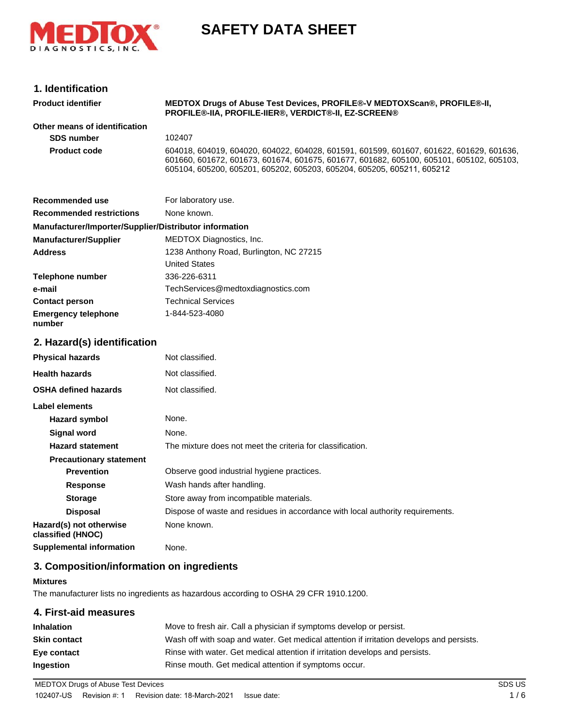

# **SAFETY DATA SHEET**

### **1. Identification**

| <b>Product identifier</b>                              | MEDTOX Drugs of Abuse Test Devices, PROFILE®-V MEDTOXScan®, PROFILE®-II,<br>PROFILE®-IIA, PROFILE-IIER®, VERDICT®-II, EZ-SCREEN®                                                                                                                             |  |
|--------------------------------------------------------|--------------------------------------------------------------------------------------------------------------------------------------------------------------------------------------------------------------------------------------------------------------|--|
| Other means of identification                          |                                                                                                                                                                                                                                                              |  |
| <b>SDS number</b>                                      | 102407                                                                                                                                                                                                                                                       |  |
| <b>Product code</b>                                    | 604018, 604019, 604020, 604022, 604028, 601591, 601599, 601607, 601622, 601629, 601636,<br>601660, 601672, 601673, 601674, 601675, 601677, 601682, 605100, 605101, 605102, 605103,<br>605104, 605200, 605201, 605202, 605203, 605204, 605205, 605211, 605212 |  |
| <b>Recommended use</b>                                 | For laboratory use.                                                                                                                                                                                                                                          |  |
| <b>Recommended restrictions</b>                        | None known.                                                                                                                                                                                                                                                  |  |
| Manufacturer/Importer/Supplier/Distributor information |                                                                                                                                                                                                                                                              |  |
| <b>Manufacturer/Supplier</b>                           | MEDTOX Diagnostics, Inc.                                                                                                                                                                                                                                     |  |
| <b>Address</b>                                         | 1238 Anthony Road, Burlington, NC 27215                                                                                                                                                                                                                      |  |
|                                                        | <b>United States</b>                                                                                                                                                                                                                                         |  |
| <b>Telephone number</b>                                | 336-226-6311                                                                                                                                                                                                                                                 |  |
| e-mail                                                 | TechServices@medtoxdiagnostics.com                                                                                                                                                                                                                           |  |
| <b>Contact person</b>                                  | <b>Technical Services</b>                                                                                                                                                                                                                                    |  |
| <b>Emergency telephone</b><br>number                   | 1-844-523-4080                                                                                                                                                                                                                                               |  |
| 2. Hazard(s) identification                            |                                                                                                                                                                                                                                                              |  |
| <b>Physical hazards</b>                                | Not classified.                                                                                                                                                                                                                                              |  |
| <b>Health hazards</b>                                  | Not classified.                                                                                                                                                                                                                                              |  |
| <b>OSHA defined hazards</b>                            | Not classified.                                                                                                                                                                                                                                              |  |
| Label elements                                         |                                                                                                                                                                                                                                                              |  |
| <b>Hazard symbol</b>                                   | None.                                                                                                                                                                                                                                                        |  |
| Signal word                                            | None.                                                                                                                                                                                                                                                        |  |
| <b>Hazard statement</b>                                | The mixture does not meet the criteria for classification.                                                                                                                                                                                                   |  |
| <b>Precautionary statement</b>                         |                                                                                                                                                                                                                                                              |  |
| <b>Prevention</b>                                      | Observe good industrial hygiene practices.                                                                                                                                                                                                                   |  |
| <b>Response</b>                                        | Wash hands after handling.                                                                                                                                                                                                                                   |  |
| <b>Storage</b>                                         | Store away from incompatible materials.                                                                                                                                                                                                                      |  |
| <b>Disposal</b>                                        | Dispose of waste and residues in accordance with local authority requirements.                                                                                                                                                                               |  |
| Hazard(s) not otherwise<br>classified (HNOC)           | None known.                                                                                                                                                                                                                                                  |  |
| <b>Supplemental information</b>                        | None.                                                                                                                                                                                                                                                        |  |

# **3. Composition/information on ingredients**

#### **Mixtures**

The manufacturer lists no ingredients as hazardous according to OSHA 29 CFR 1910.1200.

#### **4. First-aid measures**

| <b>Inhalation</b>   | Move to fresh air. Call a physician if symptoms develop or persist.                      |  |
|---------------------|------------------------------------------------------------------------------------------|--|
| <b>Skin contact</b> | Wash off with soap and water. Get medical attention if irritation develops and persists. |  |
| Eye contact         | Rinse with water. Get medical attention if irritation develops and persists.             |  |
| <b>Ingestion</b>    | Rinse mouth. Get medical attention if symptoms occur.                                    |  |

MEDTOX Drugs of Abuse Test Devices **SDS US** SDS US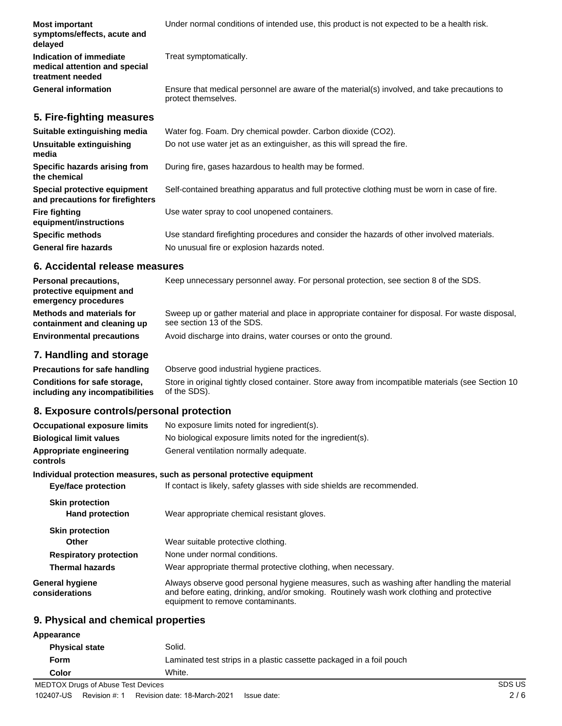| <b>Most important</b><br>symptoms/effects, acute and<br>delayed              | Under normal conditions of intended use, this product is not expected to be a health risk.                          |
|------------------------------------------------------------------------------|---------------------------------------------------------------------------------------------------------------------|
| Indication of immediate<br>medical attention and special<br>treatment needed | Treat symptomatically.                                                                                              |
| <b>General information</b>                                                   | Ensure that medical personnel are aware of the material(s) involved, and take precautions to<br>protect themselves. |
| 5. Fire-fighting measures                                                    |                                                                                                                     |
| Suitable extinguishing media                                                 | Water fog. Foam. Dry chemical powder. Carbon dioxide (CO2).                                                         |
| Unsuitable extinguishing<br>media                                            | Do not use water jet as an extinguisher, as this will spread the fire.                                              |
| Specific hazards arising from<br>the chemical                                | During fire, gases hazardous to health may be formed.                                                               |
| Special protective equipment<br>and precautions for firefighters             | Self-contained breathing apparatus and full protective clothing must be worn in case of fire.                       |
| <b>Fire fighting</b><br>equipment/instructions                               | Use water spray to cool unopened containers.                                                                        |
| <b>Specific methods</b>                                                      | Use standard firefighting procedures and consider the hazards of other involved materials.                          |
| <b>General fire hazards</b>                                                  | No unusual fire or explosion hazards noted.                                                                         |

#### **6. Accidental release measures**

| <b>Personal precautions,</b><br>protective equipment and<br>emergency procedures | Keep unnecessary personnel away. For personal protection, see section 8 of the SDS.                                            |
|----------------------------------------------------------------------------------|--------------------------------------------------------------------------------------------------------------------------------|
| Methods and materials for<br>containment and cleaning up                         | Sweep up or gather material and place in appropriate container for disposal. For waste disposal,<br>see section 13 of the SDS. |
| <b>Environmental precautions</b>                                                 | Avoid discharge into drains, water courses or onto the ground.                                                                 |

#### **7. Handling and storage**

**Precautions for safe handling** Observe good industrial hygiene practices. Store in original tightly closed container. Store away from incompatible materials (see Section 10 of the SDS). **Conditions for safe storage, including any incompatibilities**

# **8. Exposure controls/personal protection**

| <b>Occupational exposure limits</b>              | No exposure limits noted for ingredient(s).                                                                                                                                                                                 |
|--------------------------------------------------|-----------------------------------------------------------------------------------------------------------------------------------------------------------------------------------------------------------------------------|
| <b>Biological limit values</b>                   | No biological exposure limits noted for the ingredient(s).                                                                                                                                                                  |
| Appropriate engineering<br>controls              | General ventilation normally adequate.                                                                                                                                                                                      |
|                                                  | Individual protection measures, such as personal protective equipment                                                                                                                                                       |
| <b>Eye/face protection</b>                       | If contact is likely, safety glasses with side shields are recommended.                                                                                                                                                     |
| <b>Skin protection</b><br><b>Hand protection</b> | Wear appropriate chemical resistant gloves.                                                                                                                                                                                 |
| <b>Skin protection</b>                           |                                                                                                                                                                                                                             |
| <b>Other</b>                                     | Wear suitable protective clothing.                                                                                                                                                                                          |
| <b>Respiratory protection</b>                    | None under normal conditions.                                                                                                                                                                                               |
| <b>Thermal hazards</b>                           | Wear appropriate thermal protective clothing, when necessary.                                                                                                                                                               |
| <b>General hygiene</b><br>considerations         | Always observe good personal hygiene measures, such as washing after handling the material<br>and before eating, drinking, and/or smoking. Routinely wash work clothing and protective<br>equipment to remove contaminants. |

#### **9. Physical and chemical properties**

| Appearance                         |                                                                      |        |  |
|------------------------------------|----------------------------------------------------------------------|--------|--|
| <b>Physical state</b>              | Solid.                                                               |        |  |
| Form                               | Laminated test strips in a plastic cassette packaged in a foil pouch |        |  |
| Color                              | White.                                                               |        |  |
| MEDTOX Drugs of Abuse Test Devices |                                                                      | SDS US |  |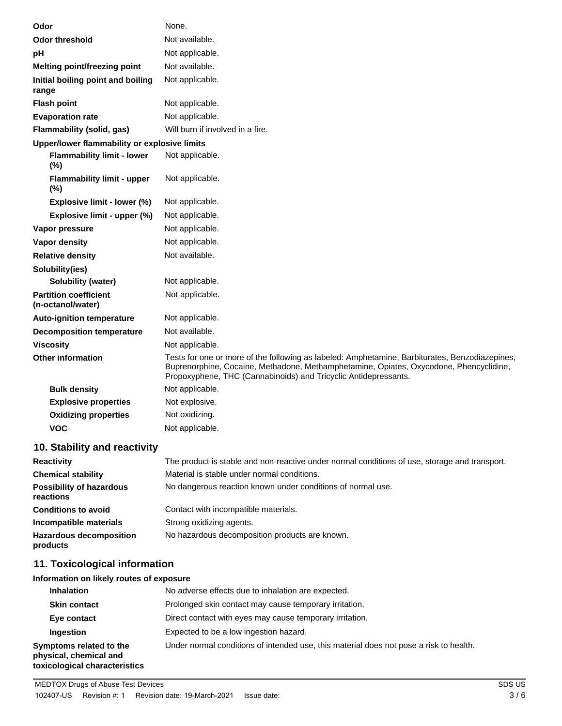| Odor                                              | None.                                                                                                                                                                                                                                                       |
|---------------------------------------------------|-------------------------------------------------------------------------------------------------------------------------------------------------------------------------------------------------------------------------------------------------------------|
| <b>Odor threshold</b>                             | Not available.                                                                                                                                                                                                                                              |
| рH                                                | Not applicable.                                                                                                                                                                                                                                             |
| Melting point/freezing point                      | Not available.                                                                                                                                                                                                                                              |
| Initial boiling point and boiling<br>range        | Not applicable.                                                                                                                                                                                                                                             |
| <b>Flash point</b>                                | Not applicable.                                                                                                                                                                                                                                             |
| <b>Evaporation rate</b>                           | Not applicable.                                                                                                                                                                                                                                             |
| Flammability (solid, gas)                         | Will burn if involved in a fire.                                                                                                                                                                                                                            |
| Upper/lower flammability or explosive limits      |                                                                                                                                                                                                                                                             |
| <b>Flammability limit - lower</b><br>(%)          | Not applicable.                                                                                                                                                                                                                                             |
| <b>Flammability limit - upper</b><br>(%)          | Not applicable.                                                                                                                                                                                                                                             |
| Explosive limit - lower (%)                       | Not applicable.                                                                                                                                                                                                                                             |
| Explosive limit - upper (%)                       | Not applicable.                                                                                                                                                                                                                                             |
| Vapor pressure                                    | Not applicable.                                                                                                                                                                                                                                             |
| Vapor density                                     | Not applicable.                                                                                                                                                                                                                                             |
| <b>Relative density</b>                           | Not available.                                                                                                                                                                                                                                              |
| Solubility(ies)                                   |                                                                                                                                                                                                                                                             |
| <b>Solubility (water)</b>                         | Not applicable.                                                                                                                                                                                                                                             |
| <b>Partition coefficient</b><br>(n-octanol/water) | Not applicable.                                                                                                                                                                                                                                             |
| <b>Auto-ignition temperature</b>                  | Not applicable.                                                                                                                                                                                                                                             |
| <b>Decomposition temperature</b>                  | Not available.                                                                                                                                                                                                                                              |
| <b>Viscosity</b>                                  | Not applicable.                                                                                                                                                                                                                                             |
| <b>Other information</b>                          | Tests for one or more of the following as labeled: Amphetamine, Barbiturates, Benzodiazepines,<br>Buprenorphine, Cocaine, Methadone, Methamphetamine, Opiates, Oxycodone, Phencyclidine,<br>Propoxyphene, THC (Cannabinoids) and Tricyclic Antidepressants. |
| <b>Bulk density</b>                               | Not applicable.                                                                                                                                                                                                                                             |
| <b>Explosive properties</b>                       | Not explosive.                                                                                                                                                                                                                                              |
| <b>Oxidizing properties</b>                       | Not oxidizing.                                                                                                                                                                                                                                              |
| VOC                                               | Not applicable.                                                                                                                                                                                                                                             |

# **10. Stability and reactivity**

| <b>Reactivity</b>                            | The product is stable and non-reactive under normal conditions of use, storage and transport. |
|----------------------------------------------|-----------------------------------------------------------------------------------------------|
| <b>Chemical stability</b>                    | Material is stable under normal conditions.                                                   |
| <b>Possibility of hazardous</b><br>reactions | No dangerous reaction known under conditions of normal use.                                   |
| <b>Conditions to avoid</b>                   | Contact with incompatible materials.                                                          |
| Incompatible materials                       | Strong oxidizing agents.                                                                      |
| <b>Hazardous decomposition</b><br>products   | No hazardous decomposition products are known.                                                |

# **11. Toxicological information**

#### **Information on likely routes of exposure**

| <b>Inhalation</b>                                                                  | No adverse effects due to inhalation are expected.                                     |
|------------------------------------------------------------------------------------|----------------------------------------------------------------------------------------|
| <b>Skin contact</b>                                                                | Prolonged skin contact may cause temporary irritation.                                 |
| Eye contact                                                                        | Direct contact with eyes may cause temporary irritation.                               |
| Ingestion                                                                          | Expected to be a low ingestion hazard.                                                 |
| Symptoms related to the<br>physical, chemical and<br>toxicological characteristics | Under normal conditions of intended use, this material does not pose a risk to health. |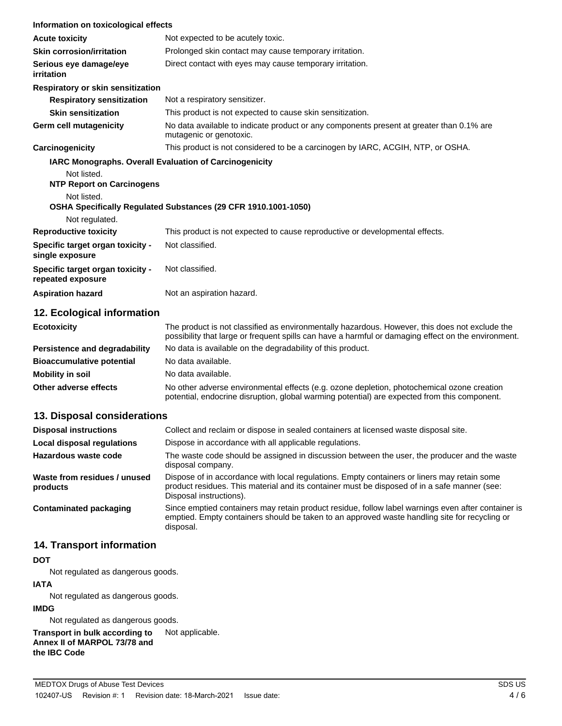| Information on toxicological effects                  |                                                                                                                                                                                                       |
|-------------------------------------------------------|-------------------------------------------------------------------------------------------------------------------------------------------------------------------------------------------------------|
| <b>Acute toxicity</b>                                 | Not expected to be acutely toxic.                                                                                                                                                                     |
| <b>Skin corrosion/irritation</b>                      | Prolonged skin contact may cause temporary irritation.                                                                                                                                                |
| Serious eye damage/eye<br><i>irritation</i>           | Direct contact with eyes may cause temporary irritation.                                                                                                                                              |
| Respiratory or skin sensitization                     |                                                                                                                                                                                                       |
| <b>Respiratory sensitization</b>                      | Not a respiratory sensitizer.                                                                                                                                                                         |
| <b>Skin sensitization</b>                             | This product is not expected to cause skin sensitization.                                                                                                                                             |
| Germ cell mutagenicity                                | No data available to indicate product or any components present at greater than 0.1% are<br>mutagenic or genotoxic.                                                                                   |
| Carcinogenicity                                       | This product is not considered to be a carcinogen by IARC, ACGIH, NTP, or OSHA.                                                                                                                       |
|                                                       | <b>IARC Monographs. Overall Evaluation of Carcinogenicity</b>                                                                                                                                         |
| Not listed.                                           |                                                                                                                                                                                                       |
| <b>NTP Report on Carcinogens</b>                      |                                                                                                                                                                                                       |
| Not listed.                                           |                                                                                                                                                                                                       |
| Not regulated.                                        | OSHA Specifically Regulated Substances (29 CFR 1910.1001-1050)                                                                                                                                        |
| <b>Reproductive toxicity</b>                          | This product is not expected to cause reproductive or developmental effects.                                                                                                                          |
| Specific target organ toxicity -<br>single exposure   | Not classified.                                                                                                                                                                                       |
| Specific target organ toxicity -<br>repeated exposure | Not classified.                                                                                                                                                                                       |
| <b>Aspiration hazard</b>                              | Not an aspiration hazard.                                                                                                                                                                             |
| 12. Ecological information                            |                                                                                                                                                                                                       |
| <b>Ecotoxicity</b>                                    | The product is not classified as environmentally hazardous. However, this does not exclude the<br>possibility that large or frequent spills can have a harmful or damaging effect on the environment. |
| <b>Persistence and degradability</b>                  | No data is available on the degradability of this product.                                                                                                                                            |
|                                                       |                                                                                                                                                                                                       |

**Bioaccumulative potential** No data available. **Mobility in soil** No data available. **Other adverse effects** No other adverse environmental effects (e.g. ozone depletion, photochemical ozone creation potential, endocrine disruption, global warming potential) are expected from this component.

# **13. Disposal considerations**

| <b>Disposal instructions</b>             | Collect and reclaim or dispose in sealed containers at licensed waste disposal site.                                                                                                                                   |  |
|------------------------------------------|------------------------------------------------------------------------------------------------------------------------------------------------------------------------------------------------------------------------|--|
| Local disposal regulations               | Dispose in accordance with all applicable regulations.                                                                                                                                                                 |  |
| Hazardous waste code                     | The waste code should be assigned in discussion between the user, the producer and the waste<br>disposal company.                                                                                                      |  |
| Waste from residues / unused<br>products | Dispose of in accordance with local regulations. Empty containers or liners may retain some<br>product residues. This material and its container must be disposed of in a safe manner (see:<br>Disposal instructions). |  |
| Contaminated packaging                   | Since emptied containers may retain product residue, follow label warnings even after container is<br>emptied. Empty containers should be taken to an approved waste handling site for recycling or<br>disposal.       |  |

#### **14. Transport information**

#### **DOT**

Not regulated as dangerous goods.

#### **IATA**

Not regulated as dangerous goods.

#### **IMDG**

Not regulated as dangerous goods.

# **Transport in bulk according to** Not applicable.

**Annex II of MARPOL 73/78 and**

# **the IBC Code**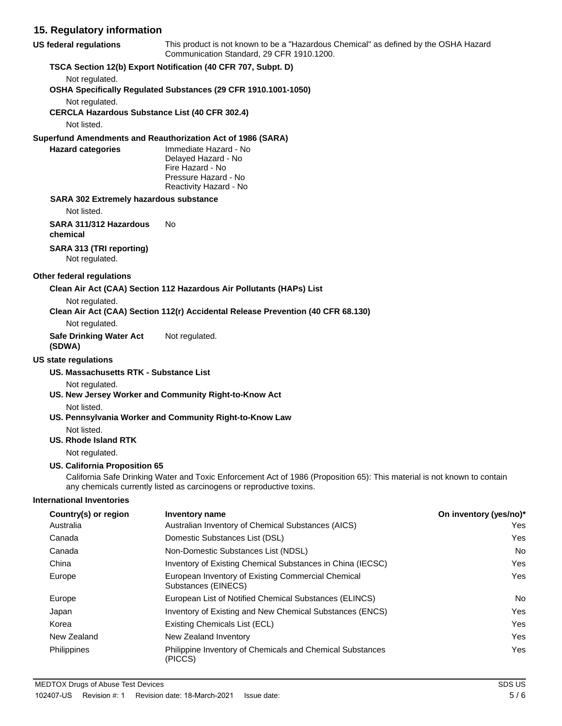#### **15. Regulatory information**

| US federal regulations                                                  | This product is not known to be a "Hazardous Chemical" as defined by the OSHA Hazard<br>Communication Standard, 29 CFR 1910.1200.                                                                 |                        |
|-------------------------------------------------------------------------|---------------------------------------------------------------------------------------------------------------------------------------------------------------------------------------------------|------------------------|
|                                                                         | TSCA Section 12(b) Export Notification (40 CFR 707, Subpt. D)                                                                                                                                     |                        |
| Not regulated.                                                          |                                                                                                                                                                                                   |                        |
|                                                                         | OSHA Specifically Regulated Substances (29 CFR 1910.1001-1050)                                                                                                                                    |                        |
| Not regulated.<br><b>CERCLA Hazardous Substance List (40 CFR 302.4)</b> |                                                                                                                                                                                                   |                        |
| Not listed.                                                             |                                                                                                                                                                                                   |                        |
|                                                                         |                                                                                                                                                                                                   |                        |
| <b>Hazard categories</b>                                                | Superfund Amendments and Reauthorization Act of 1986 (SARA)<br>Immediate Hazard - No                                                                                                              |                        |
|                                                                         | Delayed Hazard - No                                                                                                                                                                               |                        |
|                                                                         | Fire Hazard - No                                                                                                                                                                                  |                        |
|                                                                         | Pressure Hazard - No<br>Reactivity Hazard - No                                                                                                                                                    |                        |
|                                                                         |                                                                                                                                                                                                   |                        |
| SARA 302 Extremely hazardous substance<br>Not listed.                   |                                                                                                                                                                                                   |                        |
|                                                                         |                                                                                                                                                                                                   |                        |
| SARA 311/312 Hazardous<br>chemical                                      | No                                                                                                                                                                                                |                        |
|                                                                         |                                                                                                                                                                                                   |                        |
| SARA 313 (TRI reporting)<br>Not regulated.                              |                                                                                                                                                                                                   |                        |
|                                                                         |                                                                                                                                                                                                   |                        |
| <b>Other federal regulations</b>                                        |                                                                                                                                                                                                   |                        |
|                                                                         | Clean Air Act (CAA) Section 112 Hazardous Air Pollutants (HAPs) List                                                                                                                              |                        |
| Not regulated.                                                          | Clean Air Act (CAA) Section 112(r) Accidental Release Prevention (40 CFR 68.130)                                                                                                                  |                        |
| Not regulated.                                                          |                                                                                                                                                                                                   |                        |
| <b>Safe Drinking Water Act</b><br>(SDWA)                                | Not regulated.                                                                                                                                                                                    |                        |
| <b>US state regulations</b>                                             |                                                                                                                                                                                                   |                        |
| US. Massachusetts RTK - Substance List                                  |                                                                                                                                                                                                   |                        |
| Not regulated.                                                          |                                                                                                                                                                                                   |                        |
|                                                                         | US. New Jersey Worker and Community Right-to-Know Act                                                                                                                                             |                        |
| Not listed.                                                             |                                                                                                                                                                                                   |                        |
|                                                                         | US. Pennsylvania Worker and Community Right-to-Know Law                                                                                                                                           |                        |
| Not listed.                                                             |                                                                                                                                                                                                   |                        |
| US. Rhode Island RTK                                                    |                                                                                                                                                                                                   |                        |
| Not regulated.                                                          |                                                                                                                                                                                                   |                        |
| US. California Proposition 65                                           |                                                                                                                                                                                                   |                        |
|                                                                         | California Safe Drinking Water and Toxic Enforcement Act of 1986 (Proposition 65): This material is not known to contain<br>any chemicals currently listed as carcinogens or reproductive toxins. |                        |
| <b>International Inventories</b>                                        |                                                                                                                                                                                                   |                        |
| Country(s) or region                                                    | Inventory name                                                                                                                                                                                    | On inventory (yes/no)* |
| Australia                                                               | Australian Inventory of Chemical Substances (AICS)                                                                                                                                                | Yes                    |
| Canada                                                                  | Domestic Substances List (DSL)                                                                                                                                                                    | Yes                    |
| Canada                                                                  | Non-Domestic Substances List (NDSL)                                                                                                                                                               | No                     |
| China                                                                   | Inventory of Existing Chemical Substances in China (IECSC)                                                                                                                                        | Yes                    |
| Europe                                                                  | European Inventory of Existing Commercial Chemical<br>Substances (EINECS)                                                                                                                         | Yes                    |
| Europe                                                                  | European List of Notified Chemical Substances (ELINCS)                                                                                                                                            | No                     |
| Japan                                                                   | Inventory of Existing and New Chemical Substances (ENCS)                                                                                                                                          | Yes                    |
| Korea                                                                   | Existing Chemicals List (ECL)                                                                                                                                                                     | Yes                    |
| New Zealand                                                             | New Zealand Inventory                                                                                                                                                                             | Yes                    |

Philippine Inventory of Chemicals and Chemical Substances Philippines Yes

(PICCS)